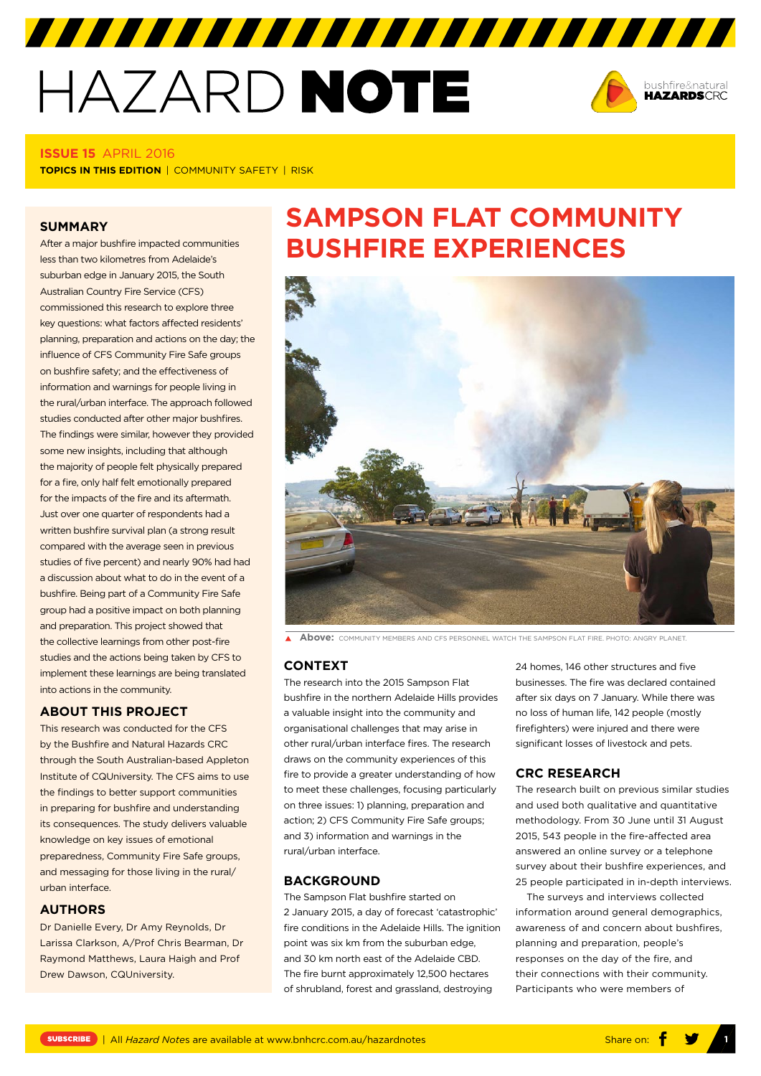# HAZARD NOTE

7777777777777777777777777777777



#### **ISSUE 15** APRIL 2016

**TOPICS IN THIS EDITION | COMMUNITY SAFETY | RISK** 

#### **SUMMARY**

After a major bushfire impacted communities less than two kilometres from Adelaide's suburban edge in January 2015, the South Australian Country Fire Service (CFS) commissioned this research to explore three key questions: what factors affected residents' planning, preparation and actions on the day; the influence of CFS Community Fire Safe groups on bushfire safety; and the effectiveness of information and warnings for people living in the rural/urban interface. The approach followed studies conducted after other major bushfires. The findings were similar, however they provided some new insights, including that although the majority of people felt physically prepared for a fire, only half felt emotionally prepared for the impacts of the fire and its aftermath. Just over one quarter of respondents had a written bushfire survival plan (a strong result compared with the average seen in previous studies of five percent) and nearly 90% had had a discussion about what to do in the event of a bushfire. Being part of a Community Fire Safe group had a positive impact on both planning and preparation. This project showed that the collective learnings from other post-fire studies and the actions being taken by CFS to implement these learnings are being translated into actions in the community.

#### **ABOUT THIS PROJECT**

This research was conducted for the CFS by the Bushfire and Natural Hazards CRC through the South Australian-based Appleton Institute of CQUniversity. The CFS aims to use the findings to better support communities in preparing for bushfire and understanding its consequences. The study delivers valuable knowledge on key issues of emotional preparedness, Community Fire Safe groups, and messaging for those living in the rural/ urban interface.

#### **AUTHORS**

Dr Danielle Every, Dr Amy Reynolds, Dr Larissa Clarkson, A/Prof Chris Bearman, Dr Raymond Matthews, Laura Haigh and Prof Drew Dawson, CQUniversity.

## **SAMPSON FLAT COMMUNITY BUSHFIRE EXPERIENCES**



**A Above:** COMMUNITY MEMBERS AND CES PERSONNEL WATCH THE SAMPSON FLAT FIRE. PHOTO: ANGRY PLANET

#### **CONTEXT**

The research into the 2015 Sampson Flat bushfire in the northern Adelaide Hills provides a valuable insight into the community and organisational challenges that may arise in other rural/urban interface fires. The research draws on the community experiences of this fire to provide a greater understanding of how to meet these challenges, focusing particularly on three issues: 1) planning, preparation and action; 2) CFS Community Fire Safe groups; and 3) information and warnings in the rural/urban interface.

#### **BACKGROUND**

The Sampson Flat bushfire started on 2 January 2015, a day of forecast 'catastrophic' fire conditions in the Adelaide Hills. The ignition point was six km from the suburban edge, and 30 km north east of the Adelaide CBD. The fire burnt approximately 12,500 hectares of shrubland, forest and grassland, destroying

24 homes, 146 other structures and five businesses. The fire was declared contained after six days on 7 January. While there was no loss of human life, 142 people (mostly firefighters) were injured and there were significant losses of livestock and pets.

#### **CRC RESEARCH**

The research built on previous similar studies and used both qualitative and quantitative methodology. From 30 June until 31 August 2015, 543 people in the fire-affected area answered an online survey or a telephone survey about their bushfire experiences, and 25 people participated in in-depth interviews.

The surveys and interviews collected information around general demographics, awareness of and concern about bushfires, planning and preparation, people's responses on the day of the fire, and their connections with their community. Participants who were members of

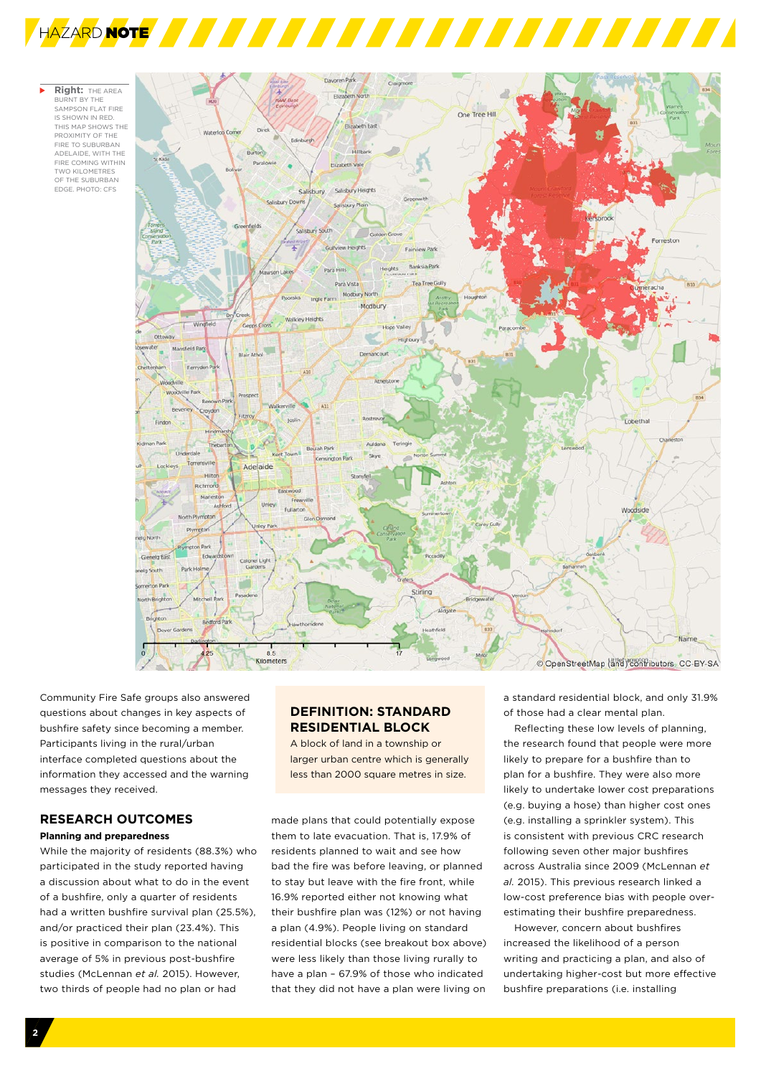



Community Fire Safe groups also answered questions about changes in key aspects of bushfire safety since becoming a member. Participants living in the rural/urban interface completed questions about the information they accessed and the warning messages they received.

### **RESEARCH OUTCOMES**

#### **Planning and preparedness**

While the majority of residents (88.3%) who participated in the study reported having a discussion about what to do in the event of a bushfire, only a quarter of residents had a written bushfire survival plan (25.5%), and/or practiced their plan (23.4%). This is positive in comparison to the national average of 5% in previous post-bushfire studies (McLennan *et al.* 2015). However, two thirds of people had no plan or had

#### **DEFINITION: STANDARD RESIDENTIAL BLOCK**

A block of land in a township or larger urban centre which is generally less than 2000 square metres in size.

made plans that could potentially expose them to late evacuation. That is, 17.9% of residents planned to wait and see how bad the fire was before leaving, or planned to stay but leave with the fire front, while 16.9% reported either not knowing what their bushfire plan was (12%) or not having a plan (4.9%). People living on standard residential blocks (see breakout box above) were less likely than those living rurally to have a plan – 67.9% of those who indicated that they did not have a plan were living on a standard residential block, and only 31.9% of those had a clear mental plan.

Reflecting these low levels of planning, the research found that people were more likely to prepare for a bushfire than to plan for a bushfire. They were also more likely to undertake lower cost preparations (e.g. buying a hose) than higher cost ones (e.g. installing a sprinkler system). This is consistent with previous CRC research following seven other major bushfires across Australia since 2009 (McLennan *et al.* 2015). This previous research linked a low-cost preference bias with people overestimating their bushfire preparedness.

However, concern about bushfires increased the likelihood of a person writing and practicing a plan, and also of undertaking higher-cost but more effective bushfire preparations (i.e. installing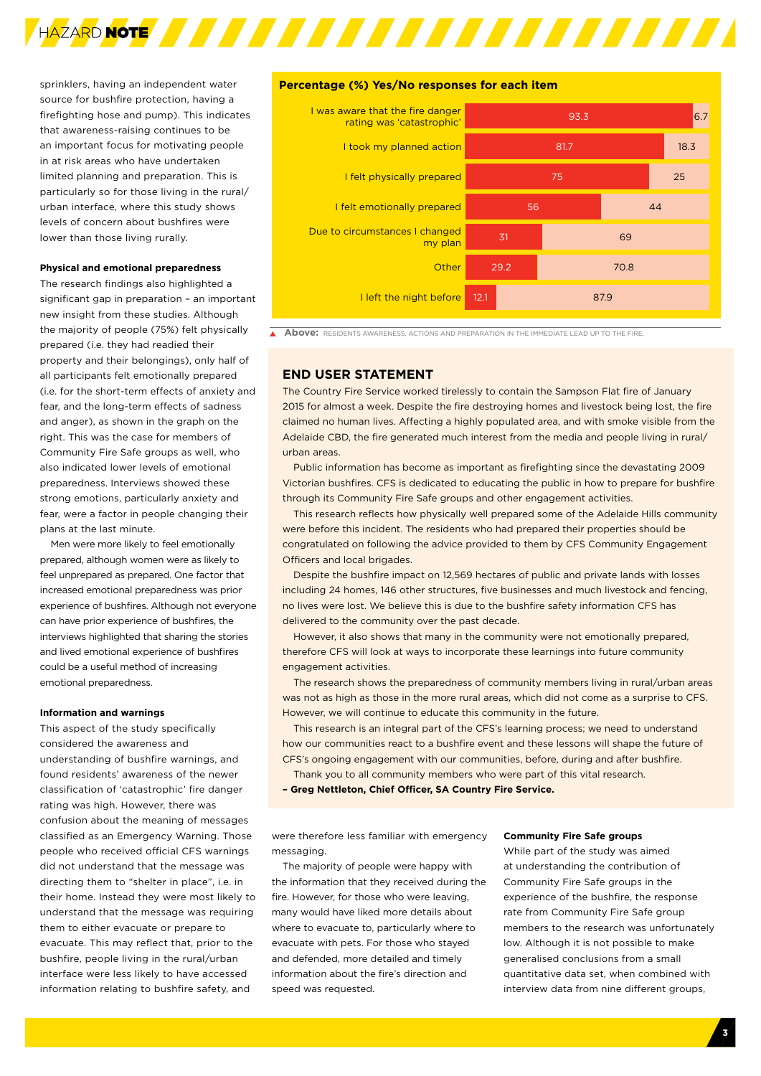

sprinklers, having an independent water source for bushfire protection, having a firefighting hose and pump). This indicates that awareness-raising continues to be an important focus for motivating people in at risk areas who have undertaken limited planning and preparation. This is particularly so for those living in the rural/ urban interface, where this study shows levels of concern about bushfires were lower than those living rurally.

#### **Physical and emotional preparedness**

The research findings also highlighted a significant gap in preparation – an important new insight from these studies. Although the majority of people (75%) felt physically prepared (i.e. they had readied their property and their belongings), only half of all participants felt emotionally prepared (i.e. for the short-term effects of anxiety and fear, and the long-term effects of sadness and anger), as shown in the graph on the right. This was the case for members of Community Fire Safe groups as well, who also indicated lower levels of emotional preparedness. Interviews showed these strong emotions, particularly anxiety and fear, were a factor in people changing their plans at the last minute.

Men were more likely to feel emotionally prepared, although women were as likely to feel unprepared as prepared. One factor that increased emotional preparedness was prior experience of bushfires. Although not everyone can have prior experience of bushfires, the interviews highlighted that sharing the stories and lived emotional experience of bushfires could be a useful method of increasing emotional preparedness.

#### **Information and warnings**

This aspect of the study specifically considered the awareness and understanding of bushfire warnings, and found residents' awareness of the newer classification of 'catastrophic' fire danger rating was high. However, there was confusion about the meaning of messages classified as an Emergency Warning. Those people who received official CFS warnings did not understand that the message was directing them to "shelter in place", i.e. in their home. Instead they were most likely to understand that the message was requiring them to either evacuate or prepare to evacuate. This may reflect that, prior to the bushfire, people living in the rural/urban interface were less likely to have accessed information relating to bushfire safety, and

#### **Percentage (%) Yes/No responses for each item**



**A BOVE:** RESIDENTS AWARENESS, ACTIONS AND PREPARATION IN THE IMMEDIATE LEAD UP TO THE FIRE.

#### **END USER STATEMENT**

The Country Fire Service worked tirelessly to contain the Sampson Flat fire of January 2015 for almost a week. Despite the fire destroying homes and livestock being lost, the fire claimed no human lives. Affecting a highly populated area, and with smoke visible from the Adelaide CBD, the fire generated much interest from the media and people living in rural/ urban areas.

Public information has become as important as firefighting since the devastating 2009 Victorian bushfires. CFS is dedicated to educating the public in how to prepare for bushfire through its Community Fire Safe groups and other engagement activities.

This research reflects how physically well prepared some of the Adelaide Hills community were before this incident. The residents who had prepared their properties should be congratulated on following the advice provided to them by CFS Community Engagement Officers and local brigades.

Despite the bushfire impact on 12,569 hectares of public and private lands with losses including 24 homes, 146 other structures, five businesses and much livestock and fencing, no lives were lost. We believe this is due to the bushfire safety information CFS has delivered to the community over the past decade.

However, it also shows that many in the community were not emotionally prepared, therefore CFS will look at ways to incorporate these learnings into future community engagement activities.

The research shows the preparedness of community members living in rural/urban areas was not as high as those in the more rural areas, which did not come as a surprise to CFS. However, we will continue to educate this community in the future.

This research is an integral part of the CFS's learning process; we need to understand how our communities react to a bushfire event and these lessons will shape the future of CFS's ongoing engagement with our communities, before, during and after bushfire.

Thank you to all community members who were part of this vital research.

**– Greg Nettleton, Chief Officer, SA Country Fire Service.** 

were therefore less familiar with emergency messaging.

The majority of people were happy with the information that they received during the fire. However, for those who were leaving, many would have liked more details about where to evacuate to, particularly where to evacuate with pets. For those who stayed and defended, more detailed and timely information about the fire's direction and speed was requested.

#### **Community Fire Safe groups**

While part of the study was aimed at understanding the contribution of Community Fire Safe groups in the experience of the bushfire, the response rate from Community Fire Safe group members to the research was unfortunately low. Although it is not possible to make generalised conclusions from a small quantitative data set, when combined with interview data from nine different groups,